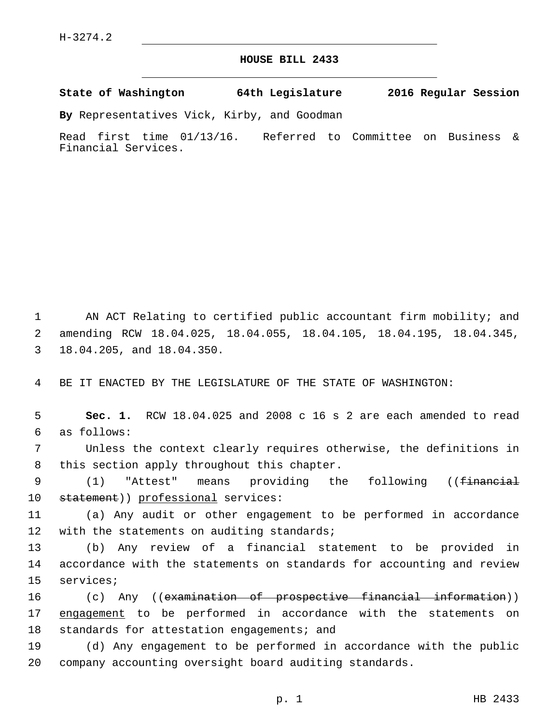## **HOUSE BILL 2433**

**State of Washington 64th Legislature 2016 Regular Session**

**By** Representatives Vick, Kirby, and Goodman

Read first time 01/13/16. Referred to Committee on Business & Financial Services.

1 AN ACT Relating to certified public accountant firm mobility; and 2 amending RCW 18.04.025, 18.04.055, 18.04.105, 18.04.195, 18.04.345, 3 18.04.205, and 18.04.350.

4 BE IT ENACTED BY THE LEGISLATURE OF THE STATE OF WASHINGTON:

5 **Sec. 1.** RCW 18.04.025 and 2008 c 16 s 2 are each amended to read as follows:6

7 Unless the context clearly requires otherwise, the definitions in 8 this section apply throughout this chapter.

9 (1) "Attest" means providing the following ((<del>financial</del> 10 statement)) professional services:

11 (a) Any audit or other engagement to be performed in accordance 12 with the statements on auditing standards;

13 (b) Any review of a financial statement to be provided in 14 accordance with the statements on standards for accounting and review 15 services;

16 (c) Any ((examination of prospective financial information)) 17 engagement to be performed in accordance with the statements on 18 standards for attestation engagements; and

19 (d) Any engagement to be performed in accordance with the public 20 company accounting oversight board auditing standards.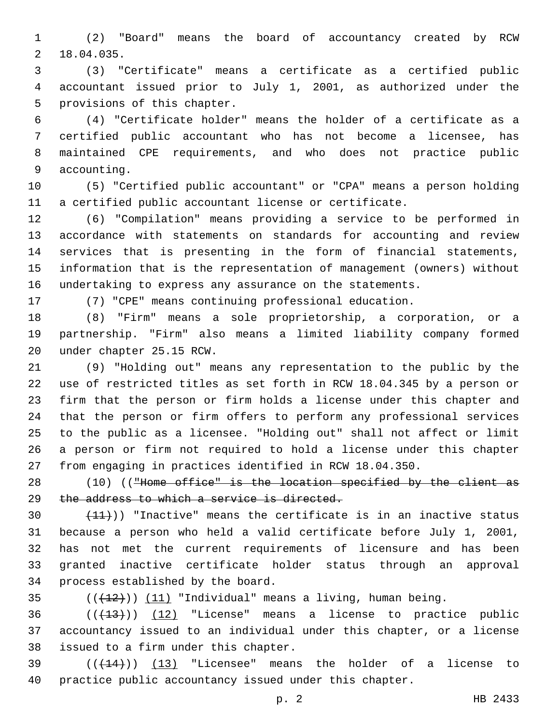(2) "Board" means the board of accountancy created by RCW 18.04.035.2

 (3) "Certificate" means a certificate as a certified public accountant issued prior to July 1, 2001, as authorized under the 5 provisions of this chapter.

 (4) "Certificate holder" means the holder of a certificate as a certified public accountant who has not become a licensee, has maintained CPE requirements, and who does not practice public 9 accounting.

 (5) "Certified public accountant" or "CPA" means a person holding a certified public accountant license or certificate.

 (6) "Compilation" means providing a service to be performed in accordance with statements on standards for accounting and review services that is presenting in the form of financial statements, information that is the representation of management (owners) without undertaking to express any assurance on the statements.

(7) "CPE" means continuing professional education.

 (8) "Firm" means a sole proprietorship, a corporation, or a partnership. "Firm" also means a limited liability company formed 20 under chapter 25.15 RCW.

 (9) "Holding out" means any representation to the public by the use of restricted titles as set forth in RCW 18.04.345 by a person or firm that the person or firm holds a license under this chapter and that the person or firm offers to perform any professional services to the public as a licensee. "Holding out" shall not affect or limit a person or firm not required to hold a license under this chapter from engaging in practices identified in RCW 18.04.350.

28 (10) (("Home office" is the location specified by the client as 29 the address to which a service is directed.

 $(11)$ ) "Inactive" means the certificate is in an inactive status because a person who held a valid certificate before July 1, 2001, has not met the current requirements of licensure and has been granted inactive certificate holder status through an approval 34 process established by the board.

35  $((+12))$   $(11)$  "Individual" means a living, human being.

  $((+13))$   $(12)$  "License" means a license to practice public accountancy issued to an individual under this chapter, or a license 38 issued to a firm under this chapter.

 $(39$  ( $(444)$ )) (13) "Licensee" means the holder of a license to practice public accountancy issued under this chapter.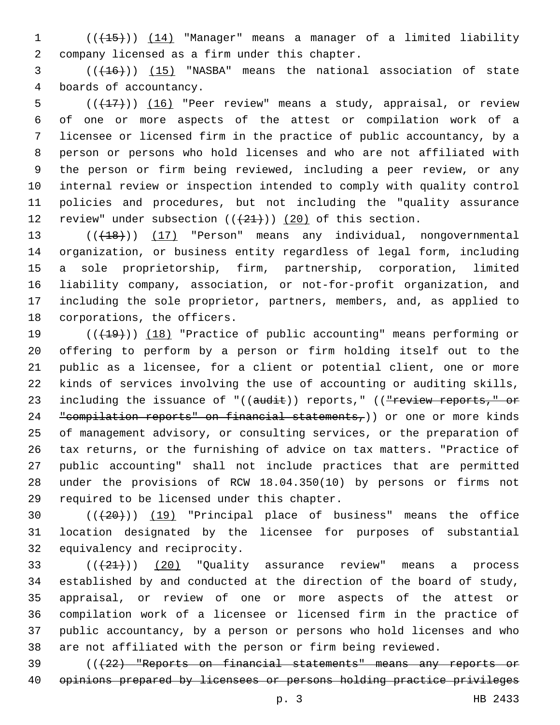(((15))) (14) "Manager" means a manager of a limited liability company licensed as a firm under this chapter.2

3 (( $(16)$ )) (15) "NASBA" means the national association of state 4 boards of accountancy.

 $((+17))$   $(16)$  "Peer review" means a study, appraisal, or review of one or more aspects of the attest or compilation work of a licensee or licensed firm in the practice of public accountancy, by a person or persons who hold licenses and who are not affiliated with the person or firm being reviewed, including a peer review, or any internal review or inspection intended to comply with quality control policies and procedures, but not including the "quality assurance 12 review" under subsection  $((+21+))$   $(20)$  of this section.

13 (( $(18)$ )) (17) "Person" means any individual, nongovernmental organization, or business entity regardless of legal form, including a sole proprietorship, firm, partnership, corporation, limited liability company, association, or not-for-profit organization, and including the sole proprietor, partners, members, and, as applied to 18 corporations, the officers.

19 (( $(19)$ ) (18) "Practice of public accounting" means performing or offering to perform by a person or firm holding itself out to the public as a licensee, for a client or potential client, one or more kinds of services involving the use of accounting or auditing skills, 23 including the issuance of "((audit)) reports," ((<del>"review reports," or</del> 24 "compilation reports" on financial statements,)) or one or more kinds of management advisory, or consulting services, or the preparation of tax returns, or the furnishing of advice on tax matters. "Practice of public accounting" shall not include practices that are permitted under the provisions of RCW 18.04.350(10) by persons or firms not 29 required to be licensed under this chapter.

 (((20))) (19) "Principal place of business" means the office location designated by the licensee for purposes of substantial 32 equivalency and reciprocity.

 $(1+21)$   $(20)$  "Quality assurance review" means a process established by and conducted at the direction of the board of study, appraisal, or review of one or more aspects of the attest or compilation work of a licensee or licensed firm in the practice of public accountancy, by a person or persons who hold licenses and who are not affiliated with the person or firm being reviewed.

 (((22) "Reports on financial statements" means any reports or opinions prepared by licensees or persons holding practice privileges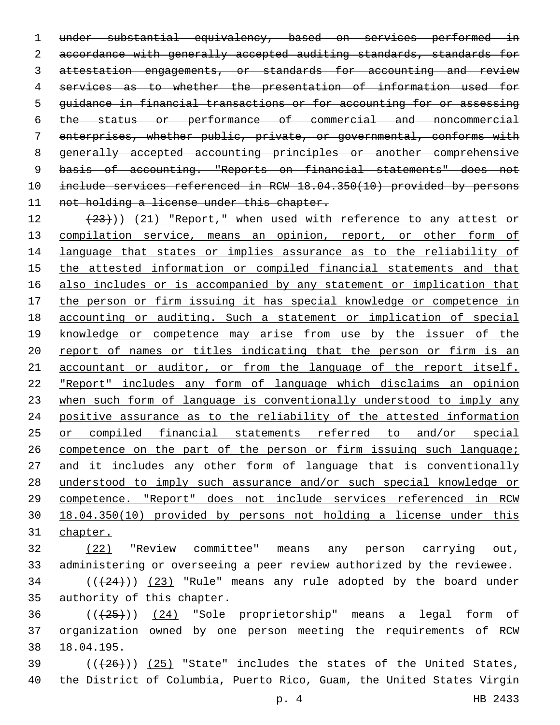under substantial equivalency, based on services performed in 2 accordance with generally accepted auditing standards, standards for 3 attestation engagements, or standards for accounting and review services as to whether the presentation of information used for guidance in financial transactions or for accounting for or assessing the status or performance of commercial and noncommercial enterprises, whether public, private, or governmental, conforms with generally accepted accounting principles or another comprehensive basis of accounting. "Reports on financial statements" does not include services referenced in RCW 18.04.350(10) provided by persons 11 not holding a license under this chapter.

 $(23)$ )) (21) "Report," when used with reference to any attest or 13 compilation service, means an opinion, report, or other form of language that states or implies assurance as to the reliability of the attested information or compiled financial statements and that also includes or is accompanied by any statement or implication that the person or firm issuing it has special knowledge or competence in accounting or auditing. Such a statement or implication of special 19 knowledge or competence may arise from use by the issuer of the report of names or titles indicating that the person or firm is an accountant or auditor, or from the language of the report itself. "Report" includes any form of language which disclaims an opinion when such form of language is conventionally understood to imply any positive assurance as to the reliability of the attested information or compiled financial statements referred to and/or special 26 competence on the part of the person or firm issuing such language; 27 and it includes any other form of language that is conventionally understood to imply such assurance and/or such special knowledge or competence. "Report" does not include services referenced in RCW 18.04.350(10) provided by persons not holding a license under this chapter.

 (22) "Review committee" means any person carrying out, administering or overseeing a peer review authorized by the reviewee.

 ( $(\frac{24}{12})$ )  $(23)$  "Rule" means any rule adopted by the board under 35 authority of this chapter.

  $((+25))$   $(24)$  "Sole proprietorship" means a legal form of organization owned by one person meeting the requirements of RCW 18.04.195.38

 ( $(\overline{+26})$ )  $(25)$  "State" includes the states of the United States, the District of Columbia, Puerto Rico, Guam, the United States Virgin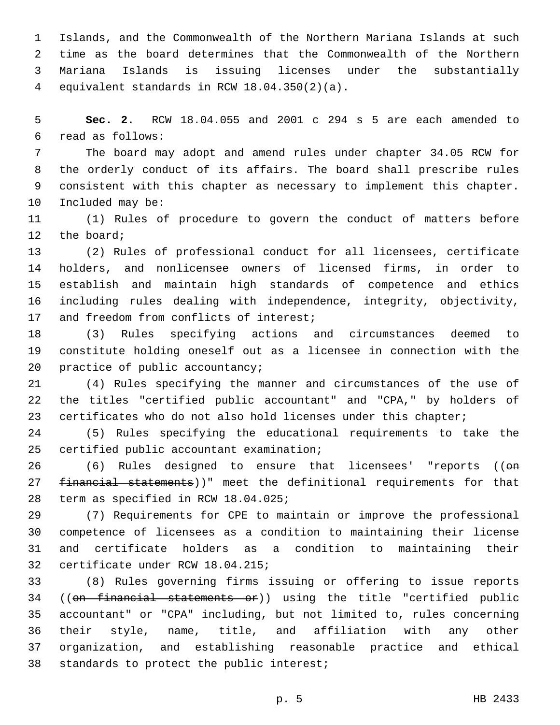Islands, and the Commonwealth of the Northern Mariana Islands at such time as the board determines that the Commonwealth of the Northern Mariana Islands is issuing licenses under the substantially equivalent standards in RCW 18.04.350(2)(a).4

 **Sec. 2.** RCW 18.04.055 and 2001 c 294 s 5 are each amended to read as follows:6

 The board may adopt and amend rules under chapter 34.05 RCW for the orderly conduct of its affairs. The board shall prescribe rules consistent with this chapter as necessary to implement this chapter. 10 Included may be:

 (1) Rules of procedure to govern the conduct of matters before 12 the board;

 (2) Rules of professional conduct for all licensees, certificate holders, and nonlicensee owners of licensed firms, in order to establish and maintain high standards of competence and ethics including rules dealing with independence, integrity, objectivity, 17 and freedom from conflicts of interest;

 (3) Rules specifying actions and circumstances deemed to constitute holding oneself out as a licensee in connection with the 20 practice of public accountancy;

 (4) Rules specifying the manner and circumstances of the use of the titles "certified public accountant" and "CPA," by holders of certificates who do not also hold licenses under this chapter;

 (5) Rules specifying the educational requirements to take the 25 certified public accountant examination;

26 (6) Rules designed to ensure that licensees' "reports (( $\Theta$ <del>n</del> financial statements))" meet the definitional requirements for that 28 term as specified in RCW 18.04.025;

 (7) Requirements for CPE to maintain or improve the professional competence of licensees as a condition to maintaining their license and certificate holders as a condition to maintaining their 32 certificate under RCW 18.04.215;

 (8) Rules governing firms issuing or offering to issue reports ((on financial statements or)) using the title "certified public accountant" or "CPA" including, but not limited to, rules concerning their style, name, title, and affiliation with any other organization, and establishing reasonable practice and ethical 38 standards to protect the public interest;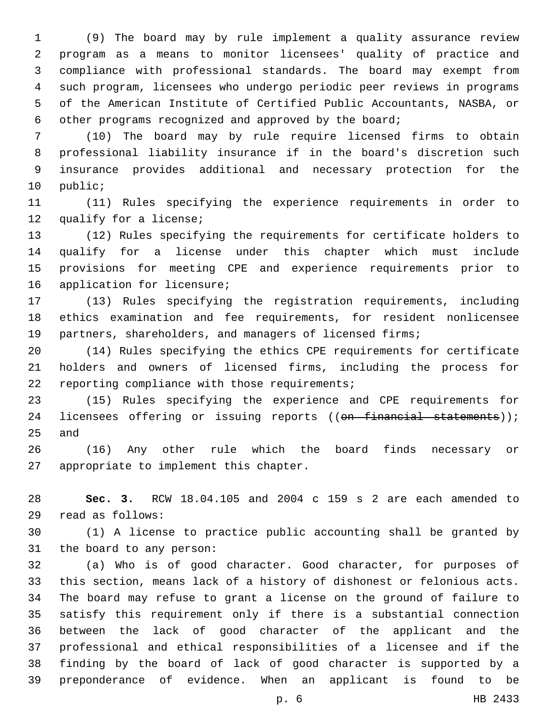(9) The board may by rule implement a quality assurance review program as a means to monitor licensees' quality of practice and compliance with professional standards. The board may exempt from such program, licensees who undergo periodic peer reviews in programs of the American Institute of Certified Public Accountants, NASBA, or other programs recognized and approved by the board;

 (10) The board may by rule require licensed firms to obtain professional liability insurance if in the board's discretion such insurance provides additional and necessary protection for the 10 public;

 (11) Rules specifying the experience requirements in order to 12 qualify for a license;

 (12) Rules specifying the requirements for certificate holders to qualify for a license under this chapter which must include provisions for meeting CPE and experience requirements prior to 16 application for licensure;

 (13) Rules specifying the registration requirements, including ethics examination and fee requirements, for resident nonlicensee partners, shareholders, and managers of licensed firms;

 (14) Rules specifying the ethics CPE requirements for certificate holders and owners of licensed firms, including the process for 22 reporting compliance with those requirements;

 (15) Rules specifying the experience and CPE requirements for 24 licensees offering or issuing reports ((on financial statements)); 25 and

 (16) Any other rule which the board finds necessary or 27 appropriate to implement this chapter.

 **Sec. 3.** RCW 18.04.105 and 2004 c 159 s 2 are each amended to read as follows:29

 (1) A license to practice public accounting shall be granted by 31 the board to any person:

 (a) Who is of good character. Good character, for purposes of this section, means lack of a history of dishonest or felonious acts. The board may refuse to grant a license on the ground of failure to satisfy this requirement only if there is a substantial connection between the lack of good character of the applicant and the professional and ethical responsibilities of a licensee and if the finding by the board of lack of good character is supported by a preponderance of evidence. When an applicant is found to be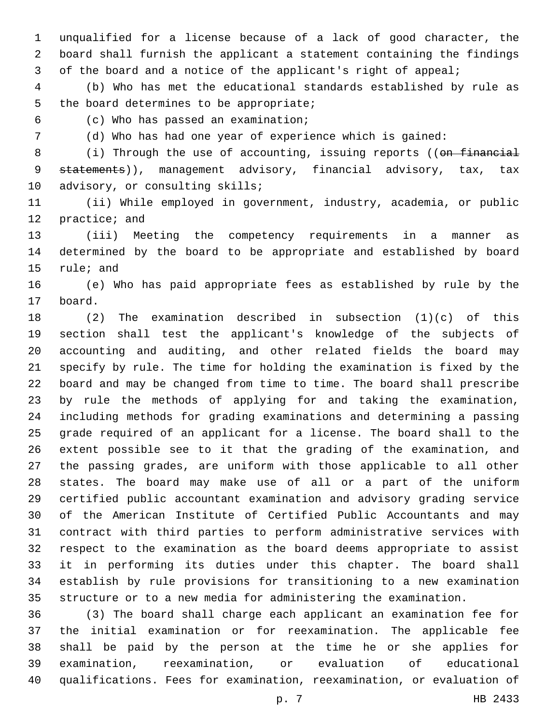unqualified for a license because of a lack of good character, the board shall furnish the applicant a statement containing the findings of the board and a notice of the applicant's right of appeal;

 (b) Who has met the educational standards established by rule as 5 the board determines to be appropriate;

(c) Who has passed an examination;6

(d) Who has had one year of experience which is gained:

8 (i) Through the use of accounting, issuing reports ((on financial 9 statements)), management advisory, financial advisory, tax, tax 10 advisory, or consulting skills;

 (ii) While employed in government, industry, academia, or public 12 practice; and

 (iii) Meeting the competency requirements in a manner as determined by the board to be appropriate and established by board 15 rule; and

 (e) Who has paid appropriate fees as established by rule by the 17 board.

 (2) The examination described in subsection (1)(c) of this section shall test the applicant's knowledge of the subjects of accounting and auditing, and other related fields the board may specify by rule. The time for holding the examination is fixed by the board and may be changed from time to time. The board shall prescribe by rule the methods of applying for and taking the examination, including methods for grading examinations and determining a passing grade required of an applicant for a license. The board shall to the extent possible see to it that the grading of the examination, and the passing grades, are uniform with those applicable to all other states. The board may make use of all or a part of the uniform certified public accountant examination and advisory grading service of the American Institute of Certified Public Accountants and may contract with third parties to perform administrative services with respect to the examination as the board deems appropriate to assist it in performing its duties under this chapter. The board shall establish by rule provisions for transitioning to a new examination structure or to a new media for administering the examination.

 (3) The board shall charge each applicant an examination fee for the initial examination or for reexamination. The applicable fee shall be paid by the person at the time he or she applies for examination, reexamination, or evaluation of educational qualifications. Fees for examination, reexamination, or evaluation of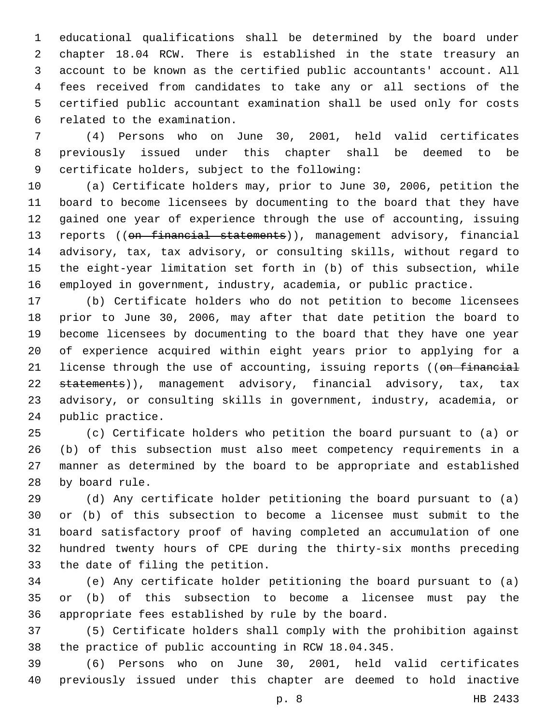educational qualifications shall be determined by the board under chapter 18.04 RCW. There is established in the state treasury an account to be known as the certified public accountants' account. All fees received from candidates to take any or all sections of the certified public accountant examination shall be used only for costs 6 related to the examination.

 (4) Persons who on June 30, 2001, held valid certificates previously issued under this chapter shall be deemed to be 9 certificate holders, subject to the following:

 (a) Certificate holders may, prior to June 30, 2006, petition the board to become licensees by documenting to the board that they have gained one year of experience through the use of accounting, issuing 13 reports ((on financial statements)), management advisory, financial advisory, tax, tax advisory, or consulting skills, without regard to the eight-year limitation set forth in (b) of this subsection, while employed in government, industry, academia, or public practice.

 (b) Certificate holders who do not petition to become licensees prior to June 30, 2006, may after that date petition the board to become licensees by documenting to the board that they have one year of experience acquired within eight years prior to applying for a 21 license through the use of accounting, issuing reports ((on financial 22 statements)), management advisory, financial advisory, tax, tax advisory, or consulting skills in government, industry, academia, or 24 public practice.

 (c) Certificate holders who petition the board pursuant to (a) or (b) of this subsection must also meet competency requirements in a manner as determined by the board to be appropriate and established 28 by board rule.

 (d) Any certificate holder petitioning the board pursuant to (a) or (b) of this subsection to become a licensee must submit to the board satisfactory proof of having completed an accumulation of one hundred twenty hours of CPE during the thirty-six months preceding 33 the date of filing the petition.

 (e) Any certificate holder petitioning the board pursuant to (a) or (b) of this subsection to become a licensee must pay the appropriate fees established by rule by the board.

 (5) Certificate holders shall comply with the prohibition against the practice of public accounting in RCW 18.04.345.

 (6) Persons who on June 30, 2001, held valid certificates previously issued under this chapter are deemed to hold inactive

p. 8 HB 2433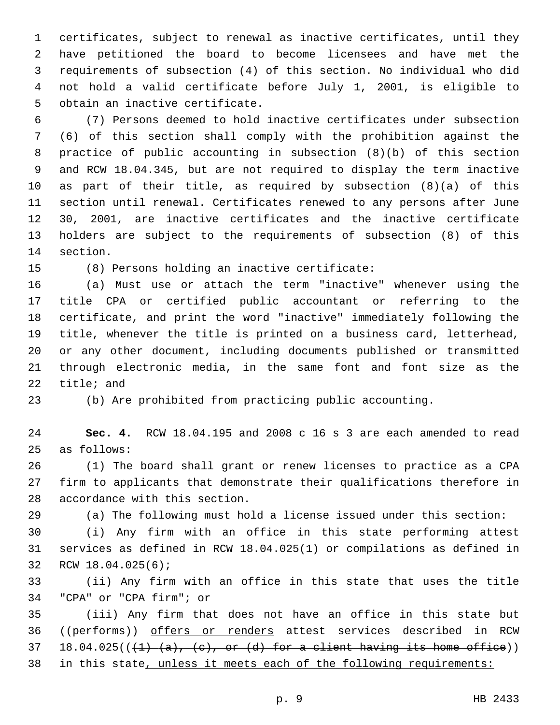certificates, subject to renewal as inactive certificates, until they have petitioned the board to become licensees and have met the requirements of subsection (4) of this section. No individual who did not hold a valid certificate before July 1, 2001, is eligible to 5 obtain an inactive certificate.

 (7) Persons deemed to hold inactive certificates under subsection (6) of this section shall comply with the prohibition against the practice of public accounting in subsection (8)(b) of this section and RCW 18.04.345, but are not required to display the term inactive as part of their title, as required by subsection (8)(a) of this section until renewal. Certificates renewed to any persons after June 30, 2001, are inactive certificates and the inactive certificate holders are subject to the requirements of subsection (8) of this 14 section.

(8) Persons holding an inactive certificate:15

 (a) Must use or attach the term "inactive" whenever using the title CPA or certified public accountant or referring to the certificate, and print the word "inactive" immediately following the title, whenever the title is printed on a business card, letterhead, or any other document, including documents published or transmitted through electronic media, in the same font and font size as the title; and

(b) Are prohibited from practicing public accounting.

 **Sec. 4.** RCW 18.04.195 and 2008 c 16 s 3 are each amended to read 25 as follows:

 (1) The board shall grant or renew licenses to practice as a CPA firm to applicants that demonstrate their qualifications therefore in 28 accordance with this section.

(a) The following must hold a license issued under this section:

 (i) Any firm with an office in this state performing attest services as defined in RCW 18.04.025(1) or compilations as defined in 32 RCW 18.04.025(6);

 (ii) Any firm with an office in this state that uses the title 34 "CPA" or "CPA firm"; or

 (iii) Any firm that does not have an office in this state but 36 ((performs)) offers or renders attest services described in RCW 37 18.04.025( $(\frac{1}{1} \cdot (a), \frac{c}{c}, or (d)$  for a client having its home office)) in this state, unless it meets each of the following requirements: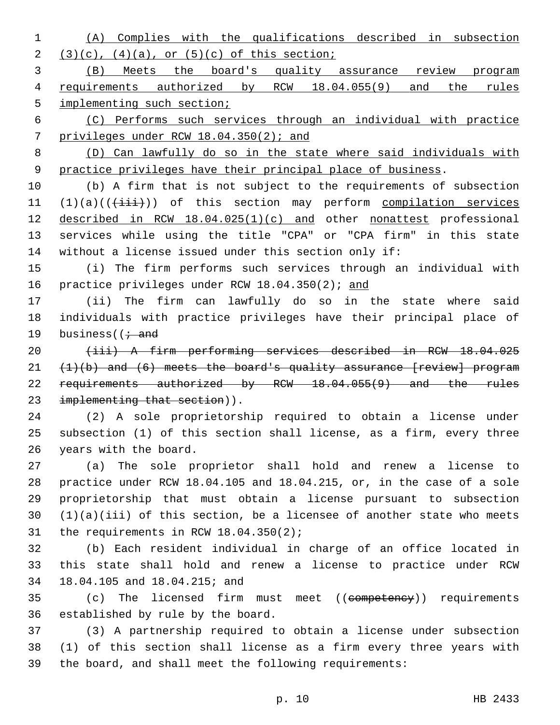(A) Complies with the qualifications described in subsection 2  $(3)(c)$ ,  $(4)(a)$ , or  $(5)(c)$  of this section;

 (B) Meets the board's quality assurance review program requirements authorized by RCW 18.04.055(9) and the rules 5 implementing such section;

 (C) Performs such services through an individual with practice privileges under RCW 18.04.350(2); and

 (D) Can lawfully do so in the state where said individuals with practice privileges have their principal place of business.

 (b) A firm that is not subject to the requirements of subsection  $(1)(a)((\overrightarrow{iii}))$  of this section may perform compilation services described in RCW 18.04.025(1)(c) and other nonattest professional services while using the title "CPA" or "CPA firm" in this state without a license issued under this section only if:

 (i) The firm performs such services through an individual with 16 practice privileges under RCW 18.04.350(2); and

 (ii) The firm can lawfully do so in the state where said individuals with practice privileges have their principal place of 19 business( $\overline{1}$  and

 (iii) A firm performing services described in RCW 18.04.025  $(1)(b)$  and  $(6)$  meets the board's quality assurance [review] program 22 requirements authorized by RCW 18.04.055(9) and the rules 23 implementing that section)).

 (2) A sole proprietorship required to obtain a license under subsection (1) of this section shall license, as a firm, every three 26 years with the board.

 (a) The sole proprietor shall hold and renew a license to practice under RCW 18.04.105 and 18.04.215, or, in the case of a sole proprietorship that must obtain a license pursuant to subsection (1)(a)(iii) of this section, be a licensee of another state who meets 31 the requirements in RCW  $18.04.350(2)$ ;

 (b) Each resident individual in charge of an office located in this state shall hold and renew a license to practice under RCW 18.04.105 and 18.04.215; and34

35 (c) The licensed firm must meet ((competency)) requirements 36 established by rule by the board.

 (3) A partnership required to obtain a license under subsection (1) of this section shall license as a firm every three years with the board, and shall meet the following requirements: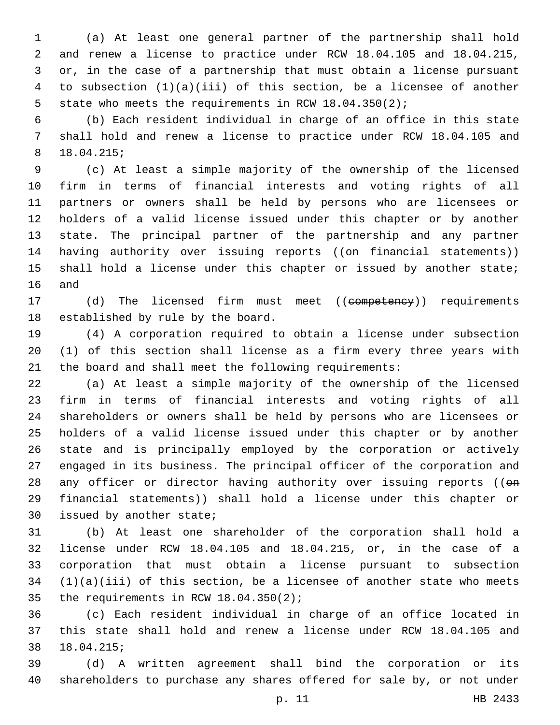(a) At least one general partner of the partnership shall hold and renew a license to practice under RCW 18.04.105 and 18.04.215, or, in the case of a partnership that must obtain a license pursuant to subsection (1)(a)(iii) of this section, be a licensee of another state who meets the requirements in RCW 18.04.350(2);

 (b) Each resident individual in charge of an office in this state shall hold and renew a license to practice under RCW 18.04.105 and 18.04.215;8

 (c) At least a simple majority of the ownership of the licensed firm in terms of financial interests and voting rights of all partners or owners shall be held by persons who are licensees or holders of a valid license issued under this chapter or by another state. The principal partner of the partnership and any partner 14 having authority over issuing reports ((on financial statements)) 15 shall hold a license under this chapter or issued by another state; 16 and

17 (d) The licensed firm must meet ((competency)) requirements 18 established by rule by the board.

 (4) A corporation required to obtain a license under subsection (1) of this section shall license as a firm every three years with the board and shall meet the following requirements:

 (a) At least a simple majority of the ownership of the licensed firm in terms of financial interests and voting rights of all shareholders or owners shall be held by persons who are licensees or holders of a valid license issued under this chapter or by another state and is principally employed by the corporation or actively engaged in its business. The principal officer of the corporation and 28 any officer or director having authority over issuing reports ((on financial statements)) shall hold a license under this chapter or 30 issued by another state;

 (b) At least one shareholder of the corporation shall hold a license under RCW 18.04.105 and 18.04.215, or, in the case of a corporation that must obtain a license pursuant to subsection (1)(a)(iii) of this section, be a licensee of another state who meets 35 the requirements in RCW  $18.04.350(2)$ ;

 (c) Each resident individual in charge of an office located in this state shall hold and renew a license under RCW 18.04.105 and 18.04.215;38

 (d) A written agreement shall bind the corporation or its shareholders to purchase any shares offered for sale by, or not under

p. 11 HB 2433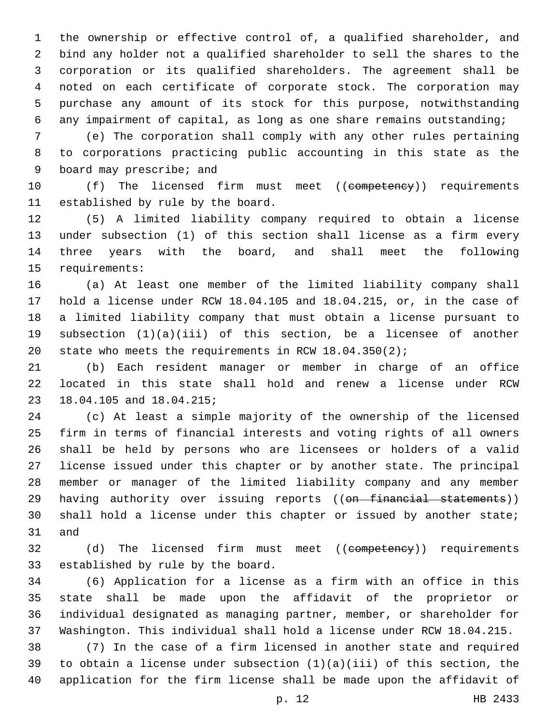the ownership or effective control of, a qualified shareholder, and bind any holder not a qualified shareholder to sell the shares to the corporation or its qualified shareholders. The agreement shall be noted on each certificate of corporate stock. The corporation may purchase any amount of its stock for this purpose, notwithstanding any impairment of capital, as long as one share remains outstanding;

 (e) The corporation shall comply with any other rules pertaining to corporations practicing public accounting in this state as the 9 board may prescribe; and

10 (f) The licensed firm must meet ((competency)) requirements 11 established by rule by the board.

 (5) A limited liability company required to obtain a license under subsection (1) of this section shall license as a firm every three years with the board, and shall meet the following 15 requirements:

 (a) At least one member of the limited liability company shall hold a license under RCW 18.04.105 and 18.04.215, or, in the case of a limited liability company that must obtain a license pursuant to subsection (1)(a)(iii) of this section, be a licensee of another state who meets the requirements in RCW 18.04.350(2);

 (b) Each resident manager or member in charge of an office located in this state shall hold and renew a license under RCW 23 18.04.105 and 18.04.215;

 (c) At least a simple majority of the ownership of the licensed firm in terms of financial interests and voting rights of all owners shall be held by persons who are licensees or holders of a valid license issued under this chapter or by another state. The principal member or manager of the limited liability company and any member 29 having authority over issuing reports ((on financial statements)) shall hold a license under this chapter or issued by another state; 31 and

32 (d) The licensed firm must meet ((competency)) requirements 33 established by rule by the board.

 (6) Application for a license as a firm with an office in this state shall be made upon the affidavit of the proprietor or individual designated as managing partner, member, or shareholder for Washington. This individual shall hold a license under RCW 18.04.215.

 (7) In the case of a firm licensed in another state and required 39 to obtain a license under subsection  $(1)(a)(iii)$  of this section, the application for the firm license shall be made upon the affidavit of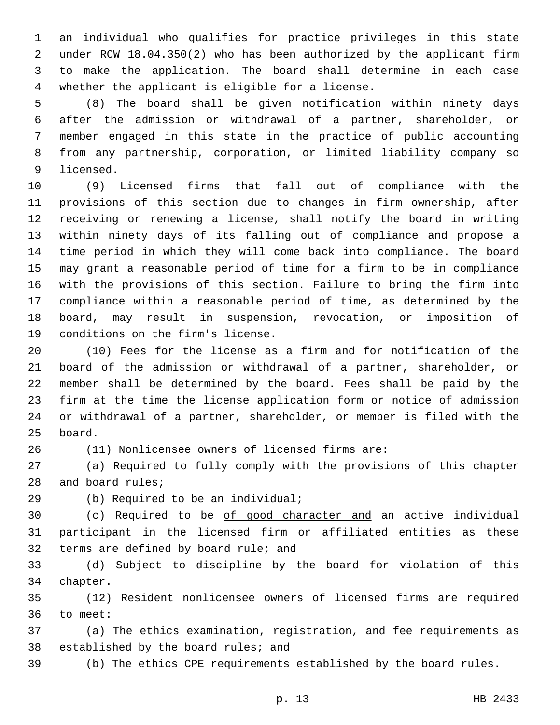an individual who qualifies for practice privileges in this state under RCW 18.04.350(2) who has been authorized by the applicant firm to make the application. The board shall determine in each case 4 whether the applicant is eligible for a license.

 (8) The board shall be given notification within ninety days after the admission or withdrawal of a partner, shareholder, or member engaged in this state in the practice of public accounting from any partnership, corporation, or limited liability company so 9 licensed.

 (9) Licensed firms that fall out of compliance with the provisions of this section due to changes in firm ownership, after receiving or renewing a license, shall notify the board in writing within ninety days of its falling out of compliance and propose a time period in which they will come back into compliance. The board may grant a reasonable period of time for a firm to be in compliance with the provisions of this section. Failure to bring the firm into compliance within a reasonable period of time, as determined by the board, may result in suspension, revocation, or imposition of 19 conditions on the firm's license.

 (10) Fees for the license as a firm and for notification of the board of the admission or withdrawal of a partner, shareholder, or member shall be determined by the board. Fees shall be paid by the firm at the time the license application form or notice of admission or withdrawal of a partner, shareholder, or member is filed with the 25 board.

(11) Nonlicensee owners of licensed firms are:

 (a) Required to fully comply with the provisions of this chapter 28 and board rules;

29 (b) Required to be an individual;

 (c) Required to be of good character and an active individual participant in the licensed firm or affiliated entities as these 32 terms are defined by board rule; and

 (d) Subject to discipline by the board for violation of this 34 chapter.

 (12) Resident nonlicensee owners of licensed firms are required 36 to meet:

 (a) The ethics examination, registration, and fee requirements as 38 established by the board rules; and

(b) The ethics CPE requirements established by the board rules.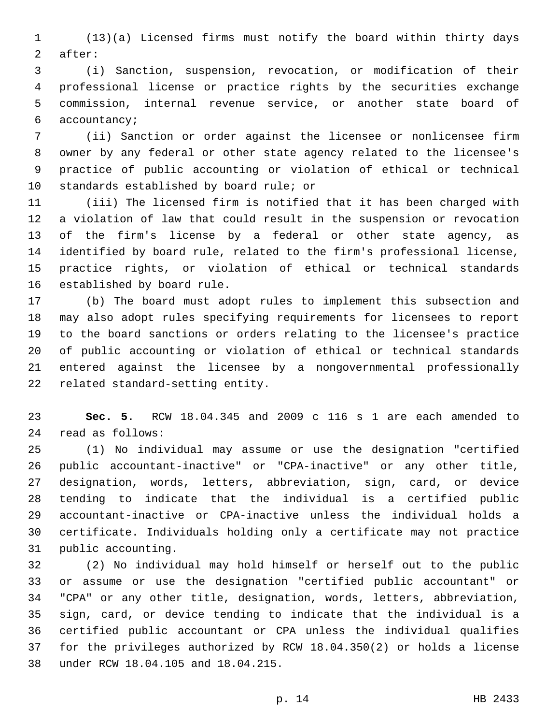(13)(a) Licensed firms must notify the board within thirty days 2 after:

 (i) Sanction, suspension, revocation, or modification of their professional license or practice rights by the securities exchange commission, internal revenue service, or another state board of 6 accountancy;

 (ii) Sanction or order against the licensee or nonlicensee firm owner by any federal or other state agency related to the licensee's practice of public accounting or violation of ethical or technical 10 standards established by board rule; or

 (iii) The licensed firm is notified that it has been charged with a violation of law that could result in the suspension or revocation of the firm's license by a federal or other state agency, as identified by board rule, related to the firm's professional license, practice rights, or violation of ethical or technical standards 16 established by board rule.

 (b) The board must adopt rules to implement this subsection and may also adopt rules specifying requirements for licensees to report to the board sanctions or orders relating to the licensee's practice of public accounting or violation of ethical or technical standards entered against the licensee by a nongovernmental professionally 22 related standard-setting entity.

 **Sec. 5.** RCW 18.04.345 and 2009 c 116 s 1 are each amended to read as follows:24

 (1) No individual may assume or use the designation "certified public accountant-inactive" or "CPA-inactive" or any other title, designation, words, letters, abbreviation, sign, card, or device tending to indicate that the individual is a certified public accountant-inactive or CPA-inactive unless the individual holds a certificate. Individuals holding only a certificate may not practice 31 public accounting.

 (2) No individual may hold himself or herself out to the public or assume or use the designation "certified public accountant" or "CPA" or any other title, designation, words, letters, abbreviation, sign, card, or device tending to indicate that the individual is a certified public accountant or CPA unless the individual qualifies for the privileges authorized by RCW 18.04.350(2) or holds a license 38 under RCW 18.04.105 and 18.04.215.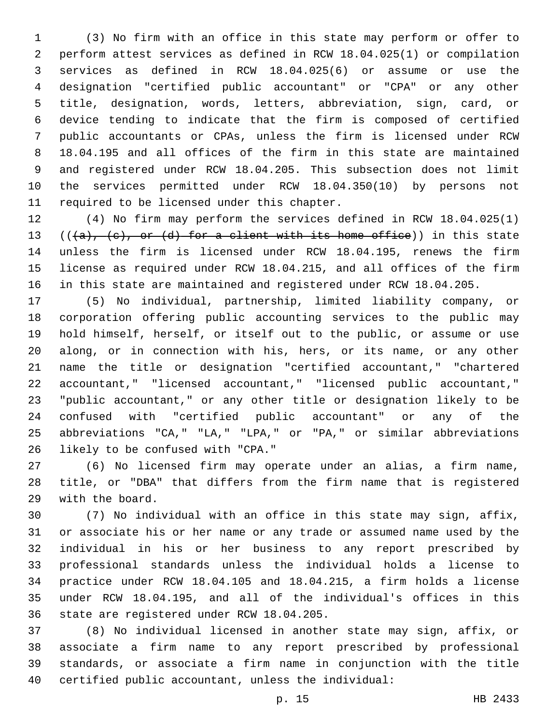(3) No firm with an office in this state may perform or offer to perform attest services as defined in RCW 18.04.025(1) or compilation services as defined in RCW 18.04.025(6) or assume or use the designation "certified public accountant" or "CPA" or any other title, designation, words, letters, abbreviation, sign, card, or device tending to indicate that the firm is composed of certified public accountants or CPAs, unless the firm is licensed under RCW 18.04.195 and all offices of the firm in this state are maintained and registered under RCW 18.04.205. This subsection does not limit the services permitted under RCW 18.04.350(10) by persons not 11 required to be licensed under this chapter.

 (4) No firm may perform the services defined in RCW 18.04.025(1) 13 (( $\{a\}$ ,  $\{e\}$ , or  $\{d\}$  for a client with its home office)) in this state unless the firm is licensed under RCW 18.04.195, renews the firm license as required under RCW 18.04.215, and all offices of the firm in this state are maintained and registered under RCW 18.04.205.

 (5) No individual, partnership, limited liability company, or corporation offering public accounting services to the public may hold himself, herself, or itself out to the public, or assume or use along, or in connection with his, hers, or its name, or any other name the title or designation "certified accountant," "chartered accountant," "licensed accountant," "licensed public accountant," "public accountant," or any other title or designation likely to be confused with "certified public accountant" or any of the abbreviations "CA," "LA," "LPA," or "PA," or similar abbreviations 26 likely to be confused with "CPA."

 (6) No licensed firm may operate under an alias, a firm name, title, or "DBA" that differs from the firm name that is registered 29 with the board.

 (7) No individual with an office in this state may sign, affix, or associate his or her name or any trade or assumed name used by the individual in his or her business to any report prescribed by professional standards unless the individual holds a license to practice under RCW 18.04.105 and 18.04.215, a firm holds a license under RCW 18.04.195, and all of the individual's offices in this 36 state are registered under RCW 18.04.205.

 (8) No individual licensed in another state may sign, affix, or associate a firm name to any report prescribed by professional standards, or associate a firm name in conjunction with the title certified public accountant, unless the individual: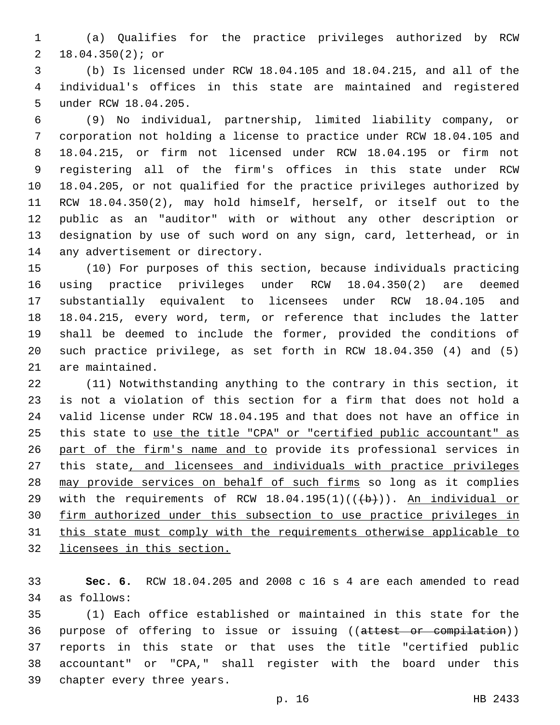(a) Qualifies for the practice privileges authorized by RCW 18.04.350(2); or2

 (b) Is licensed under RCW 18.04.105 and 18.04.215, and all of the individual's offices in this state are maintained and registered 5 under RCW 18.04.205.

 (9) No individual, partnership, limited liability company, or corporation not holding a license to practice under RCW 18.04.105 and 18.04.215, or firm not licensed under RCW 18.04.195 or firm not registering all of the firm's offices in this state under RCW 18.04.205, or not qualified for the practice privileges authorized by RCW 18.04.350(2), may hold himself, herself, or itself out to the public as an "auditor" with or without any other description or designation by use of such word on any sign, card, letterhead, or in 14 any advertisement or directory.

 (10) For purposes of this section, because individuals practicing using practice privileges under RCW 18.04.350(2) are deemed substantially equivalent to licensees under RCW 18.04.105 and 18.04.215, every word, term, or reference that includes the latter shall be deemed to include the former, provided the conditions of such practice privilege, as set forth in RCW 18.04.350 (4) and (5) 21 are maintained.

 (11) Notwithstanding anything to the contrary in this section, it is not a violation of this section for a firm that does not hold a valid license under RCW 18.04.195 and that does not have an office in this state to use the title "CPA" or "certified public accountant" as part of the firm's name and to provide its professional services in this state, and licensees and individuals with practice privileges may provide services on behalf of such firms so long as it complies 29 with the requirements of RCW  $18.04.195(1)((\theta)+))$ . An individual or firm authorized under this subsection to use practice privileges in this state must comply with the requirements otherwise applicable to licensees in this section.

 **Sec. 6.** RCW 18.04.205 and 2008 c 16 s 4 are each amended to read 34 as follows:

 (1) Each office established or maintained in this state for the 36 purpose of offering to issue or issuing ((attest or compilation)) reports in this state or that uses the title "certified public accountant" or "CPA," shall register with the board under this 39 chapter every three years.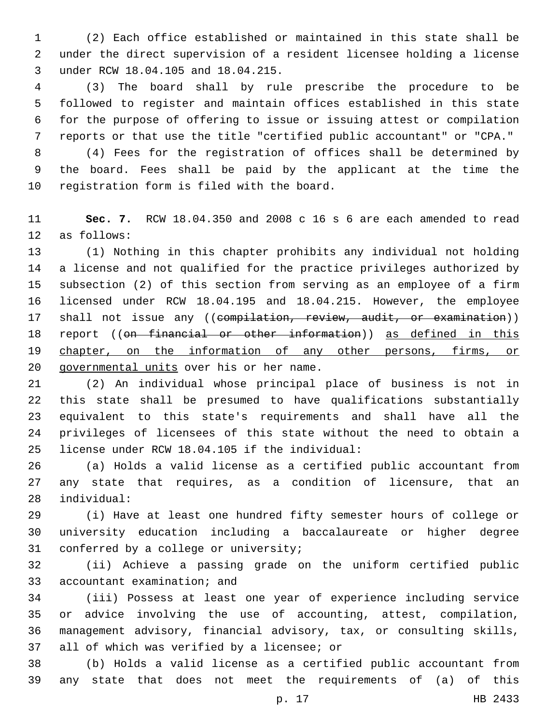(2) Each office established or maintained in this state shall be under the direct supervision of a resident licensee holding a license 3 under RCW 18.04.105 and 18.04.215.

 (3) The board shall by rule prescribe the procedure to be followed to register and maintain offices established in this state for the purpose of offering to issue or issuing attest or compilation reports or that use the title "certified public accountant" or "CPA."

 (4) Fees for the registration of offices shall be determined by the board. Fees shall be paid by the applicant at the time the 10 registration form is filed with the board.

 **Sec. 7.** RCW 18.04.350 and 2008 c 16 s 6 are each amended to read 12 as follows:

 (1) Nothing in this chapter prohibits any individual not holding a license and not qualified for the practice privileges authorized by subsection (2) of this section from serving as an employee of a firm licensed under RCW 18.04.195 and 18.04.215. However, the employee 17 shall not issue any ((compilation, review, audit, or examination)) 18 report ((on financial or other information)) as defined in this 19 chapter, on the information of any other persons, firms, or 20 governmental units over his or her name.

 (2) An individual whose principal place of business is not in this state shall be presumed to have qualifications substantially equivalent to this state's requirements and shall have all the privileges of licensees of this state without the need to obtain a license under RCW 18.04.105 if the individual:25

 (a) Holds a valid license as a certified public accountant from any state that requires, as a condition of licensure, that an individual:28

 (i) Have at least one hundred fifty semester hours of college or university education including a baccalaureate or higher degree 31 conferred by a college or university;

 (ii) Achieve a passing grade on the uniform certified public 33 accountant examination; and

 (iii) Possess at least one year of experience including service or advice involving the use of accounting, attest, compilation, management advisory, financial advisory, tax, or consulting skills, 37 all of which was verified by a licensee; or

 (b) Holds a valid license as a certified public accountant from any state that does not meet the requirements of (a) of this

p. 17 HB 2433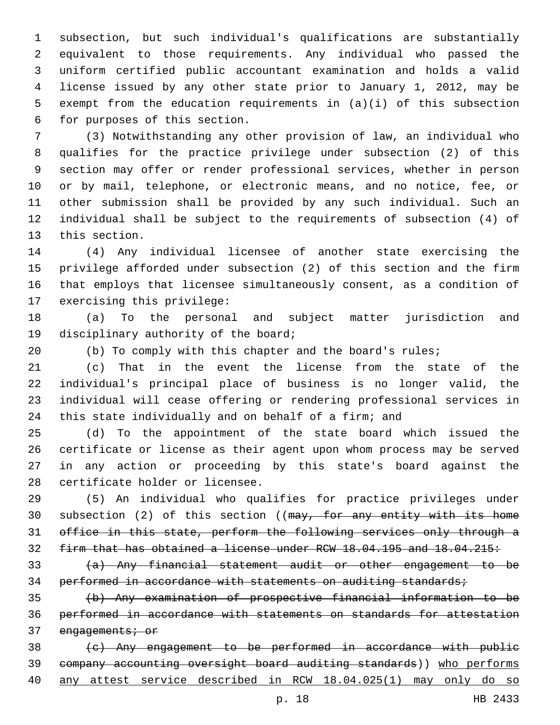subsection, but such individual's qualifications are substantially equivalent to those requirements. Any individual who passed the uniform certified public accountant examination and holds a valid license issued by any other state prior to January 1, 2012, may be exempt from the education requirements in (a)(i) of this subsection 6 for purposes of this section.

 (3) Notwithstanding any other provision of law, an individual who qualifies for the practice privilege under subsection (2) of this section may offer or render professional services, whether in person or by mail, telephone, or electronic means, and no notice, fee, or other submission shall be provided by any such individual. Such an individual shall be subject to the requirements of subsection (4) of 13 this section.

 (4) Any individual licensee of another state exercising the privilege afforded under subsection (2) of this section and the firm that employs that licensee simultaneously consent, as a condition of 17 exercising this privilege:

 (a) To the personal and subject matter jurisdiction and 19 disciplinary authority of the board;

(b) To comply with this chapter and the board's rules;

 (c) That in the event the license from the state of the individual's principal place of business is no longer valid, the individual will cease offering or rendering professional services in this state individually and on behalf of a firm; and

 (d) To the appointment of the state board which issued the certificate or license as their agent upon whom process may be served in any action or proceeding by this state's board against the 28 certificate holder or licensee.

 (5) An individual who qualifies for practice privileges under 30 subsection (2) of this section ((may, for any entity with its home office in this state, perform the following services only through a firm that has obtained a license under RCW 18.04.195 and 18.04.215:

 (a) Any financial statement audit or other engagement to be 34 performed in accordance with statements on auditing standards;

 (b) Any examination of prospective financial information to be performed in accordance with statements on standards for attestation 37 engagements; or

 (c) Any engagement to be performed in accordance with public company accounting oversight board auditing standards)) who performs any attest service described in RCW 18.04.025(1) may only do so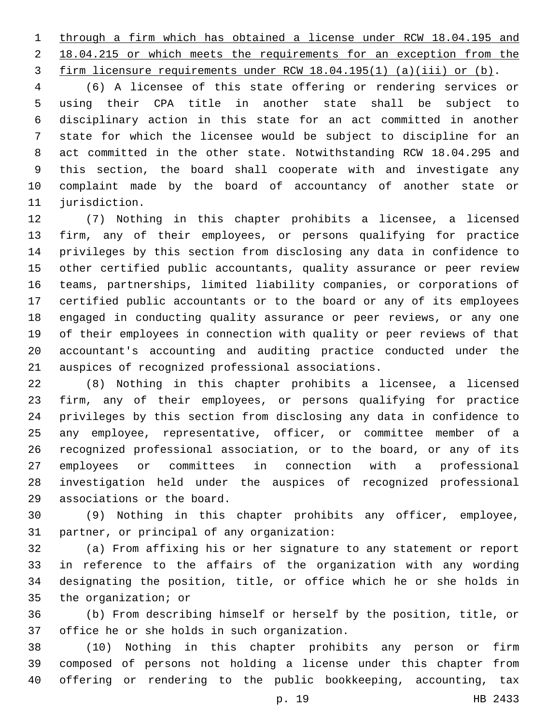through a firm which has obtained a license under RCW 18.04.195 and 2 18.04.215 or which meets the requirements for an exception from the firm licensure requirements under RCW 18.04.195(1) (a)(iii) or (b).

 (6) A licensee of this state offering or rendering services or using their CPA title in another state shall be subject to disciplinary action in this state for an act committed in another state for which the licensee would be subject to discipline for an act committed in the other state. Notwithstanding RCW 18.04.295 and this section, the board shall cooperate with and investigate any complaint made by the board of accountancy of another state or 11 jurisdiction.

 (7) Nothing in this chapter prohibits a licensee, a licensed firm, any of their employees, or persons qualifying for practice privileges by this section from disclosing any data in confidence to other certified public accountants, quality assurance or peer review teams, partnerships, limited liability companies, or corporations of certified public accountants or to the board or any of its employees engaged in conducting quality assurance or peer reviews, or any one of their employees in connection with quality or peer reviews of that accountant's accounting and auditing practice conducted under the 21 auspices of recognized professional associations.

 (8) Nothing in this chapter prohibits a licensee, a licensed firm, any of their employees, or persons qualifying for practice privileges by this section from disclosing any data in confidence to any employee, representative, officer, or committee member of a recognized professional association, or to the board, or any of its employees or committees in connection with a professional investigation held under the auspices of recognized professional 29 associations or the board.

 (9) Nothing in this chapter prohibits any officer, employee, 31 partner, or principal of any organization:

 (a) From affixing his or her signature to any statement or report in reference to the affairs of the organization with any wording designating the position, title, or office which he or she holds in 35 the organization; or

 (b) From describing himself or herself by the position, title, or 37 office he or she holds in such organization.

 (10) Nothing in this chapter prohibits any person or firm composed of persons not holding a license under this chapter from offering or rendering to the public bookkeeping, accounting, tax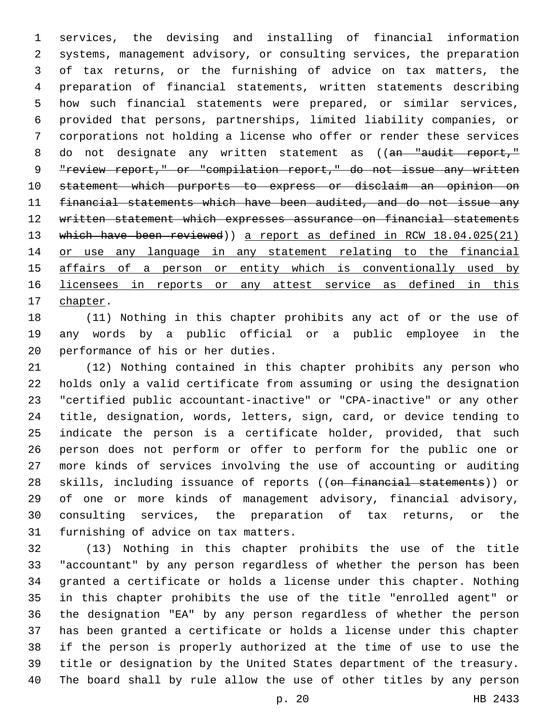services, the devising and installing of financial information systems, management advisory, or consulting services, the preparation of tax returns, or the furnishing of advice on tax matters, the preparation of financial statements, written statements describing how such financial statements were prepared, or similar services, provided that persons, partnerships, limited liability companies, or corporations not holding a license who offer or render these services 8 do not designate any written statement as ((an "audit report," "review report," or "compilation report," do not issue any written statement which purports to express or disclaim an opinion on financial statements which have been audited, and do not issue any written statement which expresses assurance on financial statements 13 which have been reviewed)) a report as defined in RCW 18.04.025(21) or use any language in any statement relating to the financial 15 affairs of a person or entity which is conventionally used by 16 licensees in reports or any attest service as defined in this 17 chapter.

 (11) Nothing in this chapter prohibits any act of or the use of any words by a public official or a public employee in the 20 performance of his or her duties.

 (12) Nothing contained in this chapter prohibits any person who holds only a valid certificate from assuming or using the designation "certified public accountant-inactive" or "CPA-inactive" or any other title, designation, words, letters, sign, card, or device tending to indicate the person is a certificate holder, provided, that such person does not perform or offer to perform for the public one or more kinds of services involving the use of accounting or auditing 28 skills, including issuance of reports ((on financial statements)) or of one or more kinds of management advisory, financial advisory, consulting services, the preparation of tax returns, or the 31 furnishing of advice on tax matters.

 (13) Nothing in this chapter prohibits the use of the title "accountant" by any person regardless of whether the person has been granted a certificate or holds a license under this chapter. Nothing in this chapter prohibits the use of the title "enrolled agent" or the designation "EA" by any person regardless of whether the person has been granted a certificate or holds a license under this chapter if the person is properly authorized at the time of use to use the title or designation by the United States department of the treasury. The board shall by rule allow the use of other titles by any person